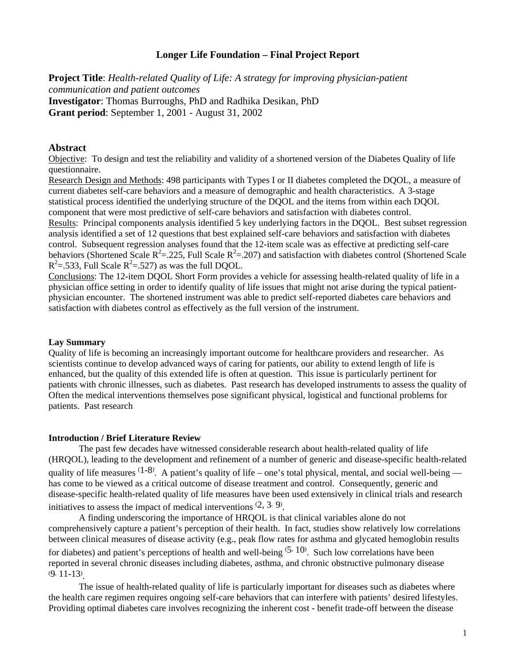### **Longer Life Foundation – Final Project Report**

**Project Title**: *Health-related Quality of Life: A strategy for improving physician-patient communication and patient outcomes*  **Investigator**: Thomas Burroughs, PhD and Radhika Desikan, PhD **Grant period**: September 1, 2001 - August 31, 2002

## **Abstract**

Objective: To design and test the reliability and validity of a shortened version of the Diabetes Quality of life questionnaire.

Research Design and Methods: 498 participants with Types I or II diabetes completed the DQOL, a measure of current diabetes self-care behaviors and a measure of demographic and health characteristics. A 3-stage statistical process identified the underlying structure of the DQOL and the items from within each DQOL component that were most predictive of self-care behaviors and satisfaction with diabetes control.

Results: Principal components analysis identified 5 key underlying factors in the DQOL. Best subset regression analysis identified a set of 12 questions that best explained self-care behaviors and satisfaction with diabetes control. Subsequent regression analyses found that the 12-item scale was as effective at predicting self-care behaviors (Shortened Scale  $R^2 = 0.225$ , Full Scale  $R^2 = 0.207$ ) and satisfaction with diabetes control (Shortened Scale  $R^2$ =.533, Full Scale  $R^2$ =.527) as was the full DQOL.

Conclusions: The 12-item DQOL Short Form provides a vehicle for assessing health-related quality of life in a physician office setting in order to identify quality of life issues that might not arise during the typical patientphysician encounter. The shortened instrument was able to predict self-reported diabetes care behaviors and satisfaction with diabetes control as effectively as the full version of the instrument.

#### **Lay Summary**

Quality of life is becoming an increasingly important outcome for healthcare providers and researcher. As scientists continue to develop advanced ways of caring for patients, our ability to extend length of life is enhanced, but the quality of this extended life is often at question. This issue is particularly pertinent for patients with chronic illnesses, such as diabetes. Past research has developed instruments to assess the quality of Often the medical interventions themselves pose significant physical, logistical and functional problems for patients. Past research

#### **Introduction / Brief Literature Review**

The past few decades have witnessed considerable research about health-related quality of life (HRQOL), leading to the development and refinement of a number of generic and disease-specific health-related quality of life measures  $(1-8)$ . A patient's quality of life – one's total physical, mental, and social well-being has come to be viewed as a critical outcome of disease treatment and control. Consequently, generic and disease-specific health-related quality of life measures have been used extensively in clinical trials and research initiatives to assess the impact of medical interventions  $(2, 3, 9)$ .

A finding underscoring the importance of HRQOL is that clinical variables alone do not comprehensively capture a patient's perception of their health. In fact, studies show relatively low correlations between clinical measures of disease activity (e.g., peak flow rates for asthma and glycated hemoglobin results for diabetes) and patient's perceptions of health and well-being  $(5, 10)$ . Such low correlations have been reported in several chronic diseases including diabetes, asthma, and chronic obstructive pulmonary disease (9, 11-13) .

The issue of health-related quality of life is particularly important for diseases such as diabetes where the health care regimen requires ongoing self-care behaviors that can interfere with patients' desired lifestyles. Providing optimal diabetes care involves recognizing the inherent cost - benefit trade-off between the disease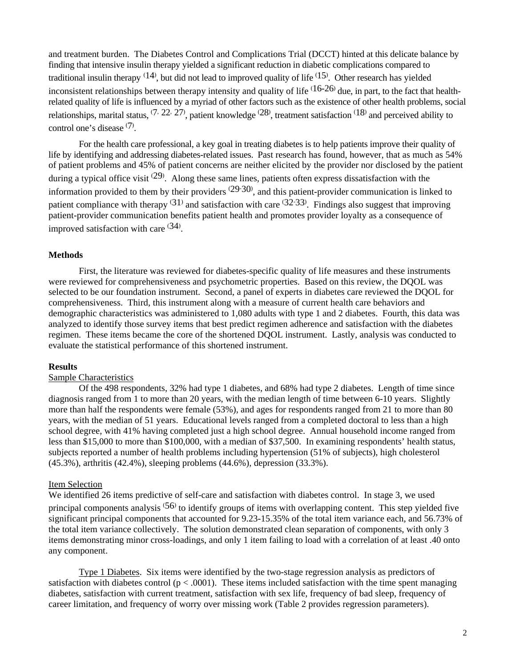and treatment burden. The Diabetes Control and Complications Trial (DCCT) hinted at this delicate balance by finding that intensive insulin therapy yielded a significant reduction in diabetic complications compared to traditional insulin therapy  $(14)$ , but did not lead to improved quality of life  $(15)$ . Other research has yielded inconsistent relationships between therapy intensity and quality of life  $(16-26)$  due, in part, to the fact that healthrelated quality of life is influenced by a myriad of other factors such as the existence of other health problems, social relationships, marital status,  $(7, 22, 27)$ , patient knowledge  $(28)$ , treatment satisfaction  $(18)$  and perceived ability to control one's disease (7) .

For the health care professional, a key goal in treating diabetes is to help patients improve their quality of life by identifying and addressing diabetes-related issues. Past research has found, however, that as much as 54% of patient problems and 45% of patient concerns are neither elicited by the provider nor disclosed by the patient during a typical office visit  $(29)$ . Along these same lines, patients often express dissatisfaction with the information provided to them by their providers  $(29.30)$ , and this patient-provider communication is linked to patient compliance with therapy <sup>(31)</sup> and satisfaction with care <sup>(32-33)</sup>. Findings also suggest that improving patient-provider communication benefits patient health and promotes provider loyalty as a consequence of improved satisfaction with care  $(34)$ .

### **Methods**

First, the literature was reviewed for diabetes-specific quality of life measures and these instruments were reviewed for comprehensiveness and psychometric properties. Based on this review, the DQOL was selected to be our foundation instrument. Second, a panel of experts in diabetes care reviewed the DQOL for comprehensiveness. Third, this instrument along with a measure of current health care behaviors and demographic characteristics was administered to 1,080 adults with type 1 and 2 diabetes. Fourth, this data was analyzed to identify those survey items that best predict regimen adherence and satisfaction with the diabetes regimen. These items became the core of the shortened DQOL instrument. Lastly, analysis was conducted to evaluate the statistical performance of this shortened instrument.

### **Results**

## Sample Characteristics

Of the 498 respondents, 32% had type 1 diabetes, and 68% had type 2 diabetes. Length of time since diagnosis ranged from 1 to more than 20 years, with the median length of time between 6-10 years. Slightly more than half the respondents were female (53%), and ages for respondents ranged from 21 to more than 80 years, with the median of 51 years. Educational levels ranged from a completed doctoral to less than a high school degree, with 41% having completed just a high school degree. Annual household income ranged from less than \$15,000 to more than \$100,000, with a median of \$37,500. In examining respondents' health status, subjects reported a number of health problems including hypertension (51% of subjects), high cholesterol (45.3%), arthritis (42.4%), sleeping problems (44.6%), depression (33.3%).

#### Item Selection

We identified 26 items predictive of self-care and satisfaction with diabetes control. In stage 3, we used principal components analysis <sup>(56)</sup> to identify groups of items with overlapping content. This step yielded five significant principal components that accounted for 9.23-15.35% of the total item variance each, and 56.73% of the total item variance collectively. The solution demonstrated clean separation of components, with only 3 items demonstrating minor cross-loadings, and only 1 item failing to load with a correlation of at least .40 onto any component.

Type 1 Diabetes. Six items were identified by the two-stage regression analysis as predictors of satisfaction with diabetes control ( $p < .0001$ ). These items included satisfaction with the time spent managing diabetes, satisfaction with current treatment, satisfaction with sex life, frequency of bad sleep, frequency of career limitation, and frequency of worry over missing work (Table 2 provides regression parameters).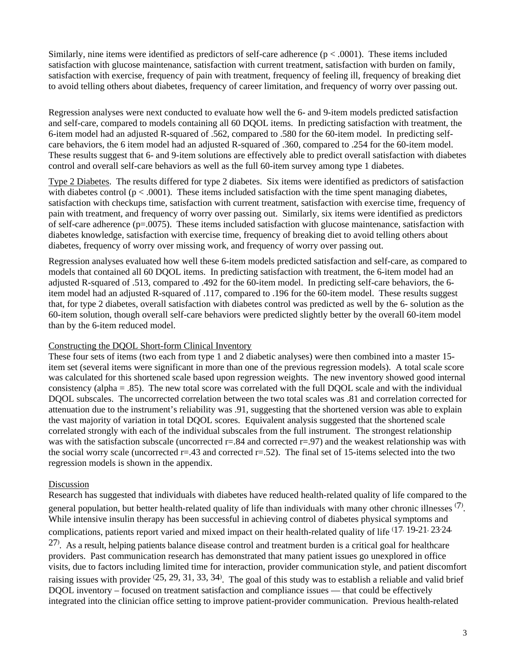Similarly, nine items were identified as predictors of self-care adherence  $(p < .0001)$ . These items included satisfaction with glucose maintenance, satisfaction with current treatment, satisfaction with burden on family, satisfaction with exercise, frequency of pain with treatment, frequency of feeling ill, frequency of breaking diet to avoid telling others about diabetes, frequency of career limitation, and frequency of worry over passing out.

Regression analyses were next conducted to evaluate how well the 6- and 9-item models predicted satisfaction and self-care, compared to models containing all 60 DQOL items. In predicting satisfaction with treatment, the 6-item model had an adjusted R-squared of .562, compared to .580 for the 60-item model. In predicting selfcare behaviors, the 6 item model had an adjusted R-squared of .360, compared to .254 for the 60-item model. These results suggest that 6- and 9-item solutions are effectively able to predict overall satisfaction with diabetes control and overall self-care behaviors as well as the full 60-item survey among type 1 diabetes.

Type 2 Diabetes. The results differed for type 2 diabetes. Six items were identified as predictors of satisfaction with diabetes control ( $p < .0001$ ). These items included satisfaction with the time spent managing diabetes, satisfaction with checkups time, satisfaction with current treatment, satisfaction with exercise time, frequency of pain with treatment, and frequency of worry over passing out. Similarly, six items were identified as predictors of self-care adherence  $(p=0.0075)$ . These items included satisfaction with glucose maintenance, satisfaction with diabetes knowledge, satisfaction with exercise time, frequency of breaking diet to avoid telling others about diabetes, frequency of worry over missing work, and frequency of worry over passing out.

Regression analyses evaluated how well these 6-item models predicted satisfaction and self-care, as compared to models that contained all 60 DQOL items. In predicting satisfaction with treatment, the 6-item model had an adjusted R-squared of .513, compared to .492 for the 60-item model. In predicting self-care behaviors, the 6 item model had an adjusted R-squared of .117, compared to .196 for the 60-item model. These results suggest that, for type 2 diabetes, overall satisfaction with diabetes control was predicted as well by the 6- solution as the 60-item solution, though overall self-care behaviors were predicted slightly better by the overall 60-item model than by the 6-item reduced model.

## Constructing the DQOL Short-form Clinical Inventory

These four sets of items (two each from type 1 and 2 diabetic analyses) were then combined into a master 15 item set (several items were significant in more than one of the previous regression models). A total scale score was calculated for this shortened scale based upon regression weights. The new inventory showed good internal consistency (alpha = .85). The new total score was correlated with the full DQOL scale and with the individual DQOL subscales. The uncorrected correlation between the two total scales was .81 and correlation corrected for attenuation due to the instrument's reliability was .91, suggesting that the shortened version was able to explain the vast majority of variation in total DQOL scores. Equivalent analysis suggested that the shortened scale correlated strongly with each of the individual subscales from the full instrument. The strongest relationship was with the satisfaction subscale (uncorrected  $r=84$  and corrected  $r=97$ ) and the weakest relationship was with the social worry scale (uncorrected  $r=43$  and corrected  $r=52$ ). The final set of 15-items selected into the two regression models is shown in the appendix.

# Discussion

Research has suggested that individuals with diabetes have reduced health-related quality of life compared to the general population, but better health-related quality of life than individuals with many other chronic illnesses  $(7)$ . While intensive insulin therapy has been successful in achieving control of diabetes physical symptoms and complications, patients report varied and mixed impact on their health-related quality of life (17, 19-21, 23-24,

 $27$ . As a result, helping patients balance disease control and treatment burden is a critical goal for healthcare providers. Past communication research has demonstrated that many patient issues go unexplored in office visits, due to factors including limited time for interaction, provider communication style, and patient discomfort raising issues with provider  $(25, 29, 31, 33, 34)$ . The goal of this study was to establish a reliable and valid brief DQOL inventory – focused on treatment satisfaction and compliance issues — that could be effectively integrated into the clinician office setting to improve patient-provider communication. Previous health-related